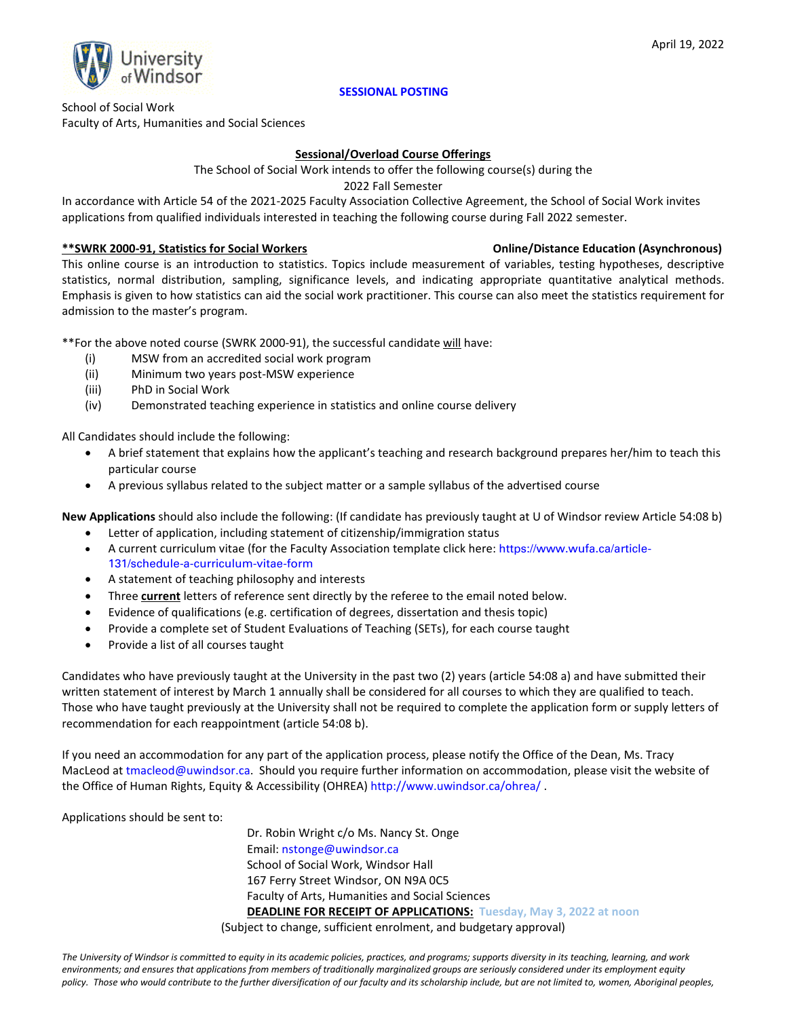

## **SESSIONAL POSTING**

School of Social Work Faculty of Arts, Humanities and Social Sciences

## **Sessional/Overload Course Offerings**

The School of Social Work intends to offer the following course(s) during the

2022 Fall Semester

In accordance with Article 54 of the 2021-2025 Faculty Association Collective Agreement, the School of Social Work invites applications from qualified individuals interested in teaching the following course during Fall 2022 semester.

## **\*\*SWRK 2000-91, Statistics for Social Workers Online/Distance Education (Asynchronous)**

This online course is an introduction to statistics. Topics include measurement of variables, testing hypotheses, descriptive statistics, normal distribution, sampling, significance levels, and indicating appropriate quantitative analytical methods. Emphasis is given to how statistics can aid the social work practitioner. This course can also meet the statistics requirement for admission to the master's program. 

\*\*For the above noted course (SWRK 2000-91), the successful candidate will have:

- (i) MSW from an accredited social work program
- (ii) Minimum two years post-MSW experience
- (iii) PhD in Social Work
- (iv) Demonstrated teaching experience in statistics and online course delivery

All Candidates should include the following:

- A brief statement that explains how the applicant's teaching and research background prepares her/him to teach this particular course
- A previous syllabus related to the subject matter or a sample syllabus of the advertised course

**New Applications** should also include the following: (If candidate has previously taught at U of Windsor review Article 54:08 b)

- Letter of application, including statement of citizenship/immigration status
- A current curriculum vitae (for the Faculty Association template click here: [https://www.wufa.ca/article-](https://www.wufa.ca/article-131/schedule-a-curriculum-vitae-form)[131/schedule-a-curriculum-vitae-form](https://www.wufa.ca/article-131/schedule-a-curriculum-vitae-form)
- A statement of teaching philosophy and interests
- Three **current** letters of reference sent directly by the referee to the email noted below.
- Evidence of qualifications (e.g. certification of degrees, dissertation and thesis topic)
- Provide a complete set of Student Evaluations of Teaching (SETs), for each course taught
- Provide a list of all courses taught

Candidates who have previously taught at the University in the past two (2) years (article 54:08 a) and have submitted their written statement of interest by March 1 annually shall be considered for all courses to which they are qualified to teach. Those who have taught previously at the University shall not be required to complete the application form or supply letters of recommendation for each reappointment (article 54:08 b).

If you need an accommodation for any part of the application process, please notify the Office of the Dean, Ms. Tracy MacLeod at [tmacleod@uwindsor.ca.](mailto:tmacleod@uwindsor.ca) Should you require further information on accommodation, please visit the website of the Office of Human Rights, Equity & Accessibility (OHREA) <http://www.uwindsor.ca/ohrea/> .

Applications should be sent to:

Dr. Robin Wright c/o Ms. Nancy St. Onge Email[: nstonge@uwindsor.ca](mailto:nstonge@uwindsor.ca) School of Social Work, Windsor Hall 167 Ferry Street Windsor, ON N9A 0C5 Faculty of Arts, Humanities and Social Sciences **DEADLINE FOR RECEIPT OF APPLICATIONS: Tuesday, May 3, 2022 at noon**

(Subject to change, sufficient enrolment, and budgetary approval)

*The University of Windsor is committed to equity in its academic policies, practices, and programs; supports diversity in its teaching, learning, and work environments; and ensures that applications from members of traditionally marginalized groups are seriously considered under its employment equity policy. Those who would contribute to the further diversification of our faculty and its scholarship include, but are not limited to, women, Aboriginal peoples,*